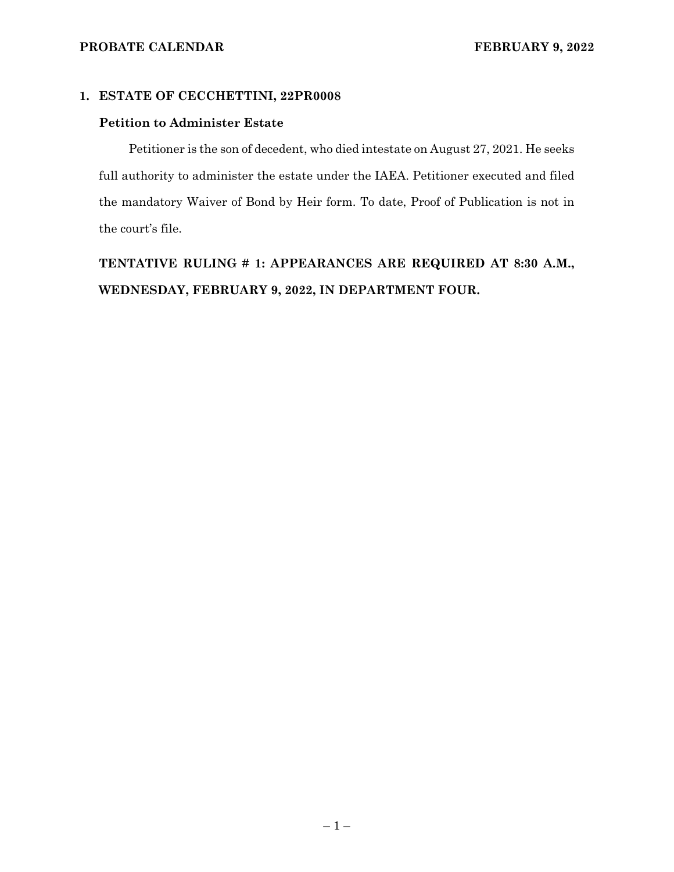### **1. ESTATE OF CECCHETTINI, 22PR0008**

### **Petition to Administer Estate**

Petitioner is the son of decedent, who died intestate on August 27, 2021. He seeks full authority to administer the estate under the IAEA. Petitioner executed and filed the mandatory Waiver of Bond by Heir form. To date, Proof of Publication is not in the court's file.

**TENTATIVE RULING # 1: APPEARANCES ARE REQUIRED AT 8:30 A.M., WEDNESDAY, FEBRUARY 9, 2022, IN DEPARTMENT FOUR.**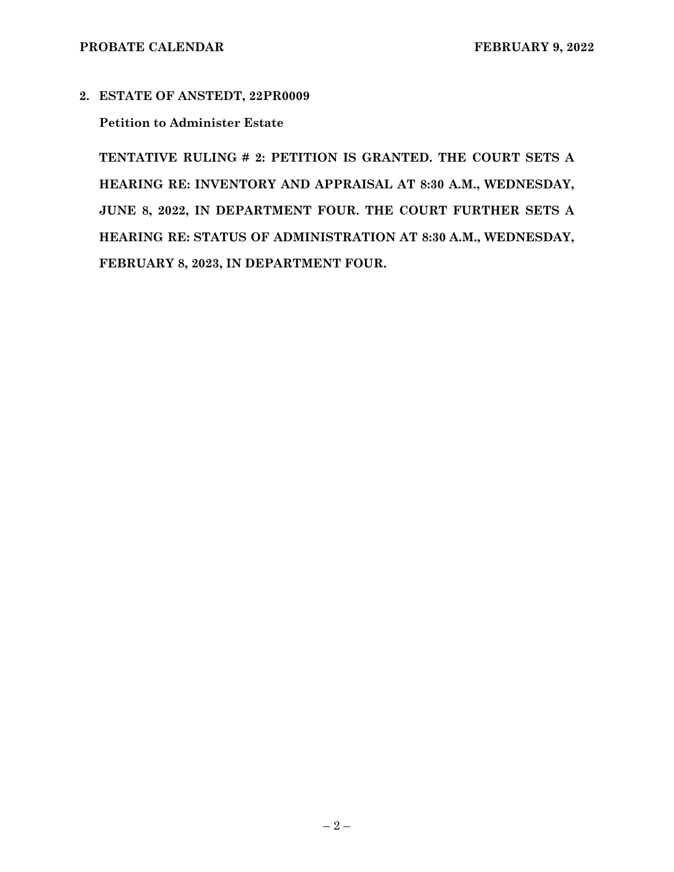**2. ESTATE OF ANSTEDT, 22PR0009** 

## **Petition to Administer Estate**

**TENTATIVE RULING # 2: PETITION IS GRANTED. THE COURT SETS A HEARING RE: INVENTORY AND APPRAISAL AT 8:30 A.M., WEDNESDAY, JUNE 8, 2022, IN DEPARTMENT FOUR. THE COURT FURTHER SETS A HEARING RE: STATUS OF ADMINISTRATION AT 8:30 A.M., WEDNESDAY, FEBRUARY 8, 2023, IN DEPARTMENT FOUR.**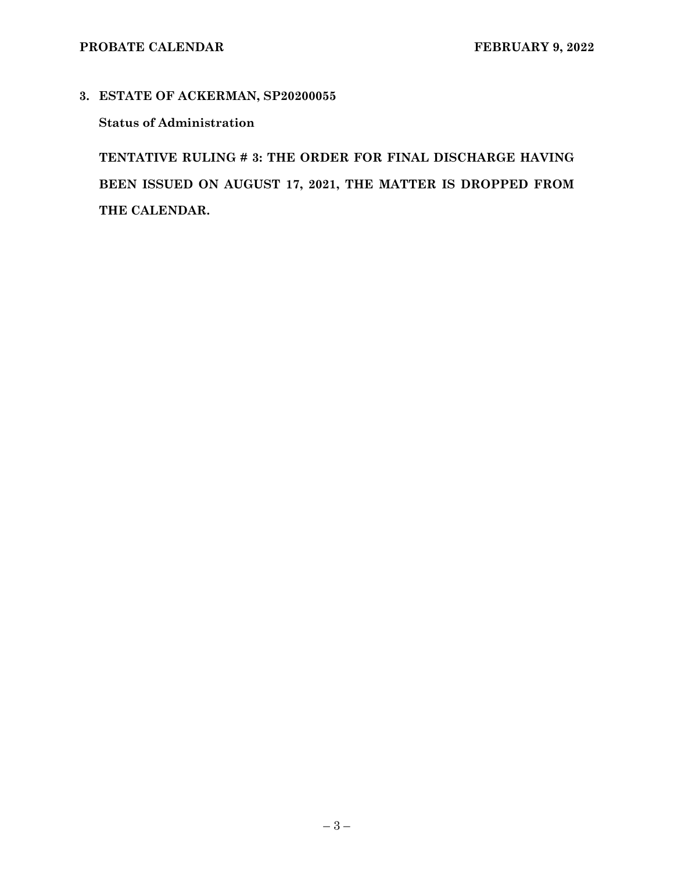## **3. ESTATE OF ACKERMAN, SP20200055**

## **Status of Administration**

**TENTATIVE RULING # 3: THE ORDER FOR FINAL DISCHARGE HAVING BEEN ISSUED ON AUGUST 17, 2021, THE MATTER IS DROPPED FROM THE CALENDAR.**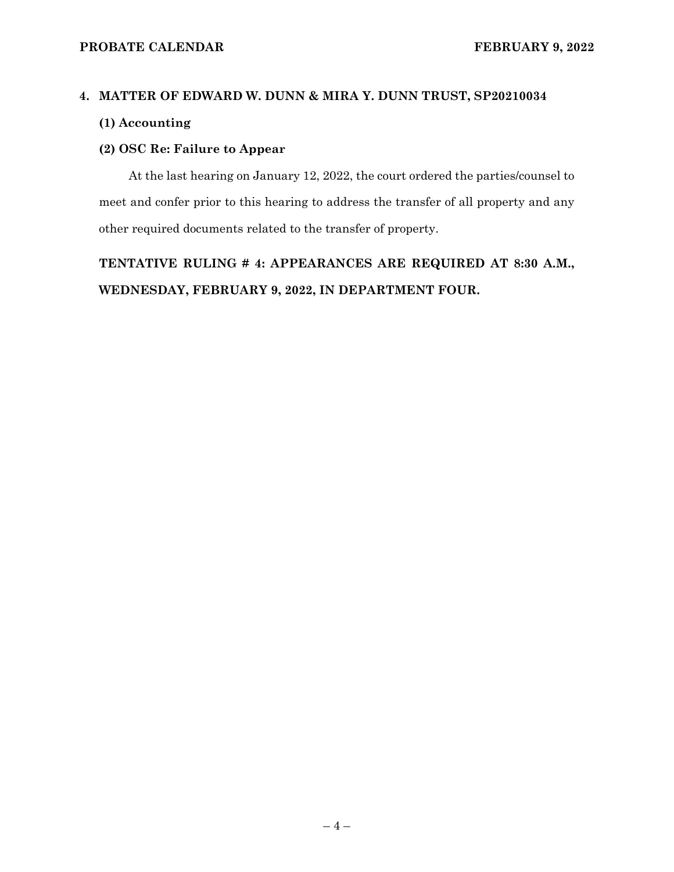# **4. MATTER OF EDWARD W. DUNN & MIRA Y. DUNN TRUST, SP20210034 (1) Accounting**

# **(2) OSC Re: Failure to Appear**

At the last hearing on January 12, 2022, the court ordered the parties/counsel to meet and confer prior to this hearing to address the transfer of all property and any other required documents related to the transfer of property.

**TENTATIVE RULING # 4: APPEARANCES ARE REQUIRED AT 8:30 A.M., WEDNESDAY, FEBRUARY 9, 2022, IN DEPARTMENT FOUR.**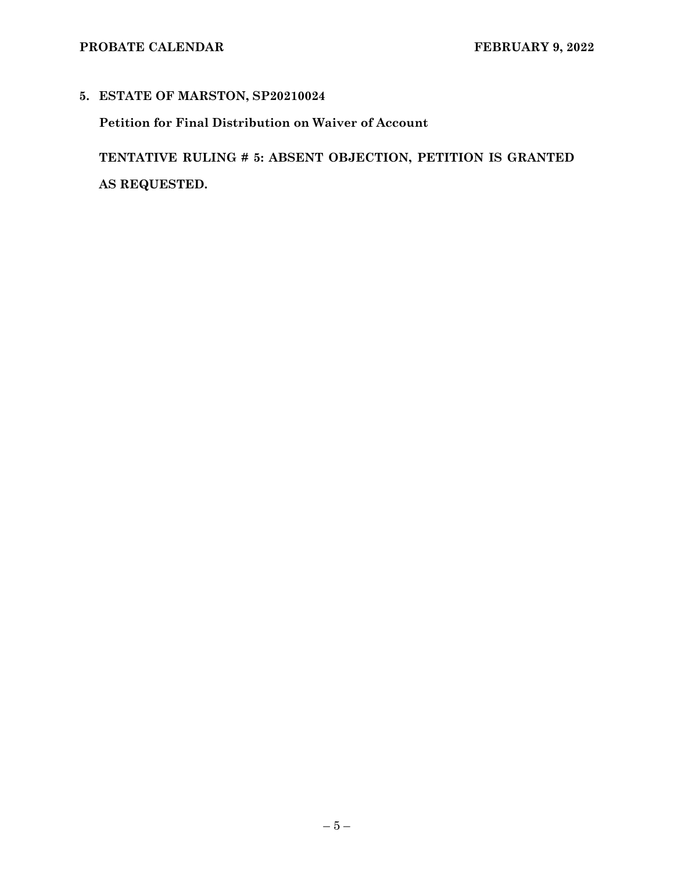## **5. ESTATE OF MARSTON, SP20210024**

**Petition for Final Distribution on Waiver of Account** 

**TENTATIVE RULING # 5: ABSENT OBJECTION, PETITION IS GRANTED AS REQUESTED.**